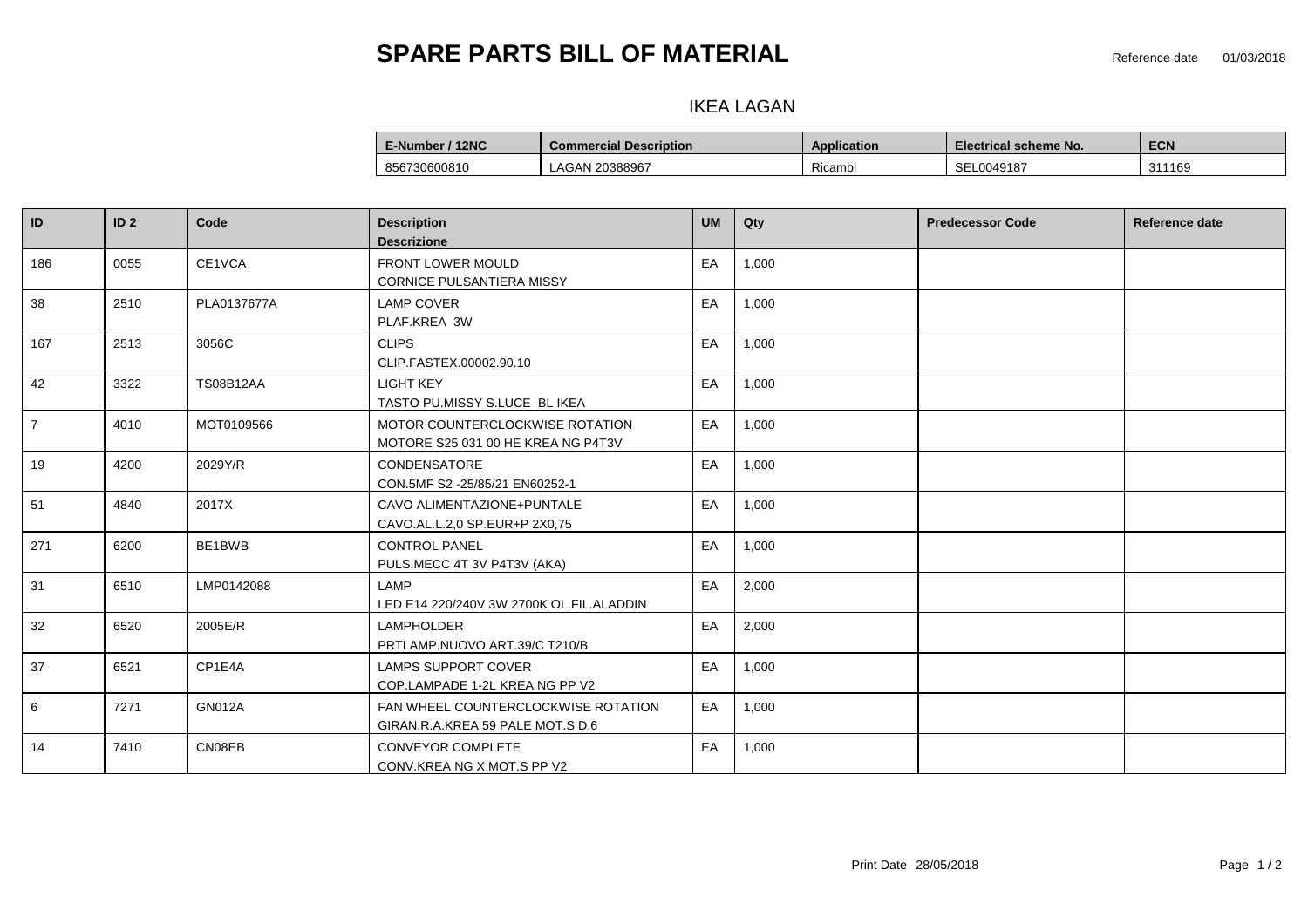## **SPARE PARTS BILL OF MATERIAL SPARE PARTS BILL OF MATERIAL**

### **CONDERCITE IN THE LAGAN PLANT PLANT PLANT PLANT EXPLODED IN THE SECRIPTION**

| E-Number / 12NC | <b>Commercial Description</b> | Application | <b>Electrical scheme No.</b> | <b>ECN</b>  |
|-----------------|-------------------------------|-------------|------------------------------|-------------|
| 856730600810    | LAGAN 20388967                | Ricambi     | SEL0049187                   | 311169<br>. |

| ID             | ID <sub>2</sub> | Code             | <b>Description</b><br><b>Descrizione</b>                                | <b>UM</b> | Qty   | <b>Predecessor Code</b> | Reference date |
|----------------|-----------------|------------------|-------------------------------------------------------------------------|-----------|-------|-------------------------|----------------|
| 186            | 0055            | CE1VCA           | <b>FRONT LOWER MOULD</b><br>CORNICE PULSANTIERA MISSY                   | EA        | 1,000 |                         |                |
| 38             | 2510            | PLA0137677A      | <b>LAMP COVER</b><br>PLAF.KREA 3W                                       | EA        | 1,000 |                         |                |
| 167            | 2513            | 3056C            | <b>CLIPS</b><br>CLIP.FASTEX.00002.90.10                                 | EA        | 1,000 |                         |                |
| 42             | 3322            | <b>TS08B12AA</b> | <b>LIGHT KEY</b><br>TASTO PU.MISSY S.LUCE BL IKEA                       | EA        | 1,000 |                         |                |
| $\overline{7}$ | 4010            | MOT0109566       | MOTOR COUNTERCLOCKWISE ROTATION<br>MOTORE S25 031 00 HE KREA NG P4T3V   | EA        | 1,000 |                         |                |
| 19             | 4200            | 2029Y/R          | CONDENSATORE<br>CON.5MF S2 -25/85/21 EN60252-1                          | EA        | 1,000 |                         |                |
| 51             | 4840            | 2017X            | CAVO ALIMENTAZIONE+PUNTALE<br>CAVO.AL.L.2,0 SP.EUR+P 2X0,75             | EA        | 1,000 |                         |                |
| 271            | 6200            | BE1BWB           | <b>CONTROL PANEL</b><br>PULS.MECC 4T 3V P4T3V (AKA)                     | EA        | 1,000 |                         |                |
| 31             | 6510            | LMP0142088       | LAMP<br>LED E14 220/240V 3W 2700K OL.FIL.ALADDIN                        | EA        | 2,000 |                         |                |
| 32             | 6520            | 2005E/R          | <b>LAMPHOLDER</b><br>PRTLAMP.NUOVO ART.39/C T210/B                      | EA        | 2,000 |                         |                |
| 37             | 6521            | CP1E4A           | <b>LAMPS SUPPORT COVER</b><br>COP.LAMPADE 1-2L KREA NG PP V2            | EA        | 1,000 |                         |                |
| 6              | 7271            | <b>GN012A</b>    | FAN WHEEL COUNTERCLOCKWISE ROTATION<br>GIRAN.R.A.KREA 59 PALE MOT.S D.6 | EA        | 1,000 |                         |                |
| 14             | 7410            | CN08EB           | <b>CONVEYOR COMPLETE</b><br>CONV.KREA NG X MOT.S PP V2                  | EA        | 1,000 |                         |                |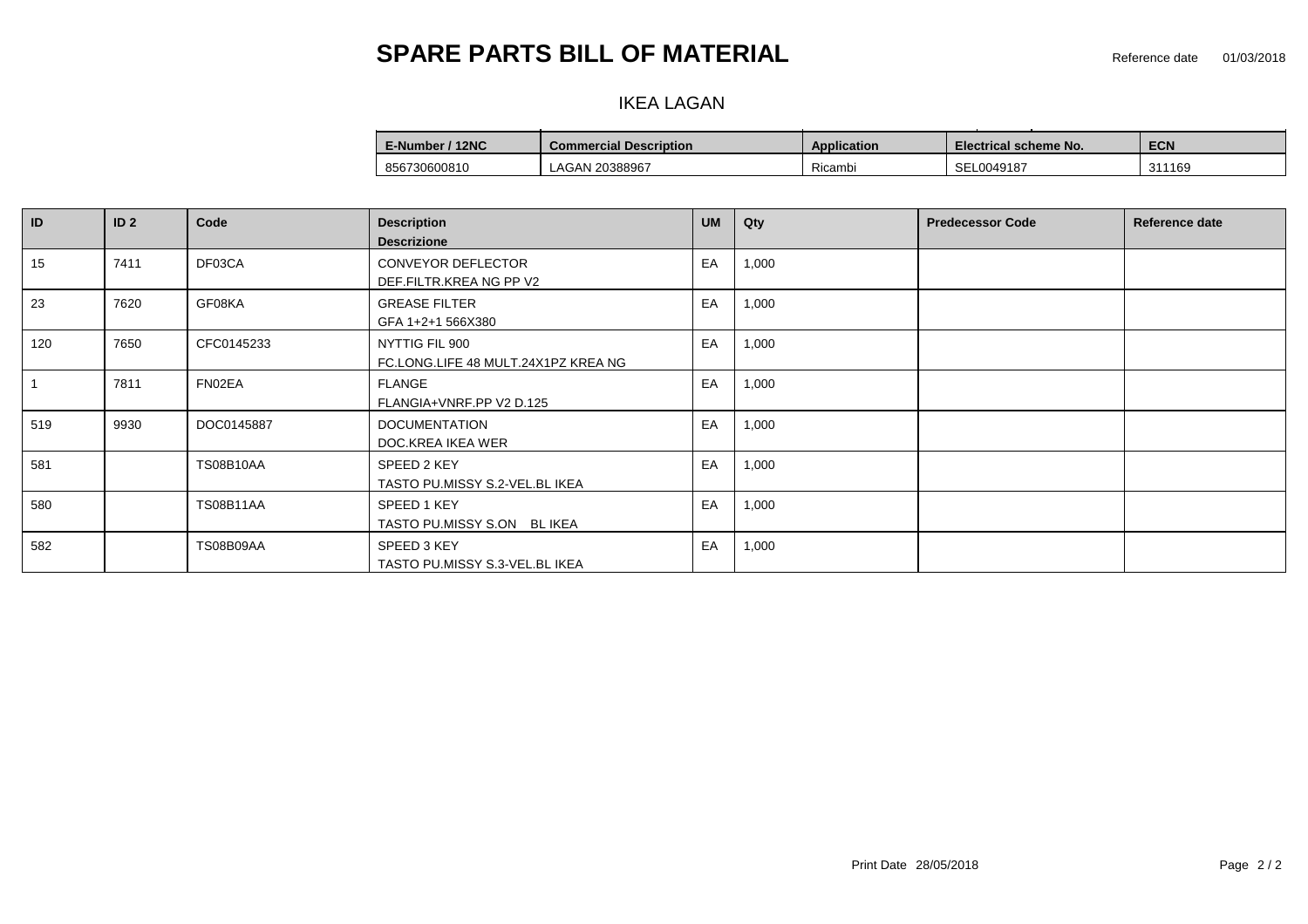# **SPARE PARTS BILL OF MATERIAL SPARE PARTS BILL OF MATERIAL**

### **CONDERCITE IN THE LAGAN PLANT PLANT PLANT PLANT EXPLODED IN THE LAGAN**

| E-Number / 12NC | <b>Commercial Description</b> | Application | Electrical scheme No. | <b>ECN</b> |
|-----------------|-------------------------------|-------------|-----------------------|------------|
| 856730600810    | LAGAN 20388967                | Ricambi     | SEL0049187            | 311169     |

| ID  | ID <sub>2</sub> | Code             | <b>Description</b><br><b>Descrizione</b>              | <b>UM</b> | Qty   | <b>Predecessor Code</b> | Reference date |
|-----|-----------------|------------------|-------------------------------------------------------|-----------|-------|-------------------------|----------------|
| 15  | 7411            | DF03CA           | <b>CONVEYOR DEFLECTOR</b><br>DEF.FILTR.KREA NG PP V2  | EA        | 1,000 |                         |                |
| 23  | 7620            | GF08KA           | <b>GREASE FILTER</b><br>GFA 1+2+1 566X380             | EA        | 1,000 |                         |                |
| 120 | 7650            | CFC0145233       | NYTTIG FIL 900<br>FC.LONG.LIFE 48 MULT.24X1PZ KREA NG | EA        | 1,000 |                         |                |
|     | 7811            | FN02EA           | FLANGE<br>FLANGIA+VNRF.PP V2 D.125                    | EA        | 1,000 |                         |                |
| 519 | 9930            | DOC0145887       | <b>DOCUMENTATION</b><br>DOC.KREA IKEA WER             | EA        | 1,000 |                         |                |
| 581 |                 | <b>TS08B10AA</b> | SPEED 2 KEY<br>TASTO PU.MISSY S.2-VEL.BL IKEA         | EA        | 1,000 |                         |                |
| 580 |                 | <b>TS08B11AA</b> | SPEED 1 KEY<br>TASTO PU.MISSY S.ON BLIKEA             | EA        | 1,000 |                         |                |
| 582 |                 | <b>TS08B09AA</b> | SPEED 3 KEY<br>TASTO PU.MISSY S.3-VEL.BL IKEA         | EA        | 1,000 |                         |                |